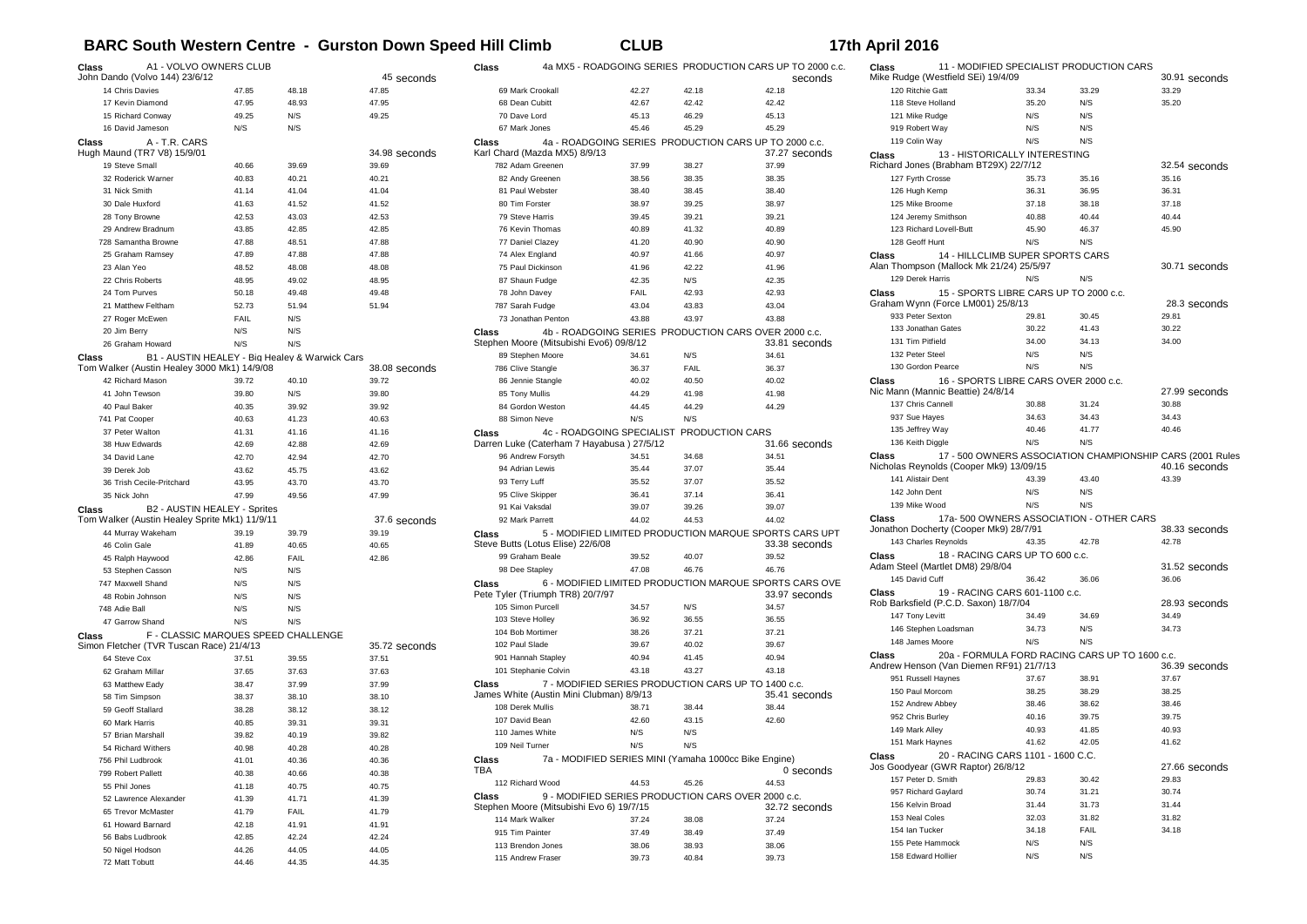## **BARC South Western Centre - Gurston Down Speed Hill Climb CLUB 17th April 2016**

| Class                                                                                                  | A1 - VOLVO OWNERS CLUB<br>John Dando (Volvo 144) 23/6/12                                      |            |                | 45 seconds      | Class           |                                                                        |       |                                                       | 4a MX5 - ROADGOING SERIES PRODUCTION CARS UP TO 2000 c.c.<br>seconds | Class              | Mike Rudge (Westfield SEi) 19/4/09                                           |       | 11 - MODIFIED SPECIALIST PRODUCTION CARS       | 30.91 seconds                                             |
|--------------------------------------------------------------------------------------------------------|-----------------------------------------------------------------------------------------------|------------|----------------|-----------------|-----------------|------------------------------------------------------------------------|-------|-------------------------------------------------------|----------------------------------------------------------------------|--------------------|------------------------------------------------------------------------------|-------|------------------------------------------------|-----------------------------------------------------------|
|                                                                                                        | 14 Chris Davies                                                                               | 47.85      | 48.18          | 47.85           |                 | 69 Mark Crookall                                                       | 42.27 | 42.18                                                 | 42.18                                                                | 120 Ritchie Gatt   |                                                                              | 33.34 | 33.29                                          | 33.29                                                     |
|                                                                                                        | 17 Kevin Diamond                                                                              | 47.95      | 48.93          | 47.95           |                 | 68 Dean Cubitt                                                         | 42.67 | 42.42                                                 | 42.42                                                                | 118 Steve Holland  |                                                                              | 35.20 | N/S                                            | 35.20                                                     |
|                                                                                                        | 15 Richard Conway                                                                             | 49.25      | N/S            | 49.25           | 70 Dave Lord    |                                                                        | 45.13 | 46.29                                                 | 45.13                                                                | 121 Mike Rudge     |                                                                              | N/S   | N/S                                            |                                                           |
|                                                                                                        | 16 David Jameson                                                                              | N/S        | N/S            |                 |                 | 67 Mark Jones                                                          | 45.46 | 45.29                                                 | 45.29                                                                | 919 Robert Way     |                                                                              | N/S   | N/S                                            |                                                           |
| Class                                                                                                  | A - T.R. CARS                                                                                 |            |                |                 | Class           |                                                                        |       | 4a - ROADGOING SERIES PRODUCTION CARS UP TO 2000 c.c. |                                                                      | 119 Colin Way      |                                                                              | N/S   | N/S                                            |                                                           |
|                                                                                                        | Hugh Maund (TR7 V8) 15/9/01                                                                   |            |                | 34.98 seconds   |                 | Karl Chard (Mazda MX5) 8/9/13                                          |       |                                                       | 37.27 seconds                                                        | <b>Class</b>       | 13 - HISTORICALLY INTERESTING                                                |       |                                                |                                                           |
|                                                                                                        | 19 Steve Small                                                                                | 40.66      | 39.69          | 39.69           |                 | 782 Adam Greenen                                                       | 37.99 | 38.27                                                 | 37.99                                                                |                    | Richard Jones (Brabham BT29X) 22/7/12                                        |       |                                                | 32.54 seconds                                             |
|                                                                                                        | 32 Roderick Warner                                                                            | 40.83      | 40.21          | 40.21           |                 | 82 Andy Greenen                                                        | 38.56 | 38.35                                                 | 38.35                                                                | 127 Fyrth Crosse   |                                                                              | 35.73 | 35.16                                          | 35.16                                                     |
|                                                                                                        | 31 Nick Smith                                                                                 | 41.14      | 41.04          | 41.04           |                 | 81 Paul Webster                                                        | 38.40 | 38.45                                                 | 38.40                                                                | 126 Hugh Kemp      |                                                                              | 36.31 | 36.95                                          | 36.31                                                     |
|                                                                                                        | 30 Dale Huxford                                                                               | 41.63      | 41.52          | 41.52           |                 | 80 Tim Forster                                                         | 38.97 | 39.25                                                 | 38.97                                                                | 125 Mike Broome    |                                                                              | 37.18 | 38.18                                          | 37.18                                                     |
|                                                                                                        | 28 Tony Browne                                                                                | 42.53      | 43.03<br>42.85 | 42.53<br>42.85  |                 | 79 Steve Harris                                                        | 39.45 | 39.21                                                 | 39.21<br>40.89                                                       |                    | 124 Jeremy Smithson                                                          | 40.88 | 40.44<br>46.37                                 | 40.44                                                     |
|                                                                                                        | 29 Andrew Bradnum                                                                             | 43.85      |                |                 |                 | 76 Kevin Thomas                                                        | 40.89 | 41.32                                                 |                                                                      |                    | 123 Richard Lovell-Butt                                                      | 45.90 |                                                | 45.90                                                     |
|                                                                                                        | 728 Samantha Browne                                                                           | 47.88      | 48.51          | 47.88           |                 | 77 Daniel Clazey                                                       | 41.20 | 40.90                                                 | 40.90                                                                | 128 Geoff Hunt     |                                                                              | N/S   | N/S                                            |                                                           |
|                                                                                                        | 25 Graham Ramsey                                                                              | 47.89      | 47.88          | 47.88           |                 | 74 Alex England                                                        | 40.97 | 41.66                                                 | 40.97                                                                | Class              | 14 - HILLCLIMB SUPER SPORTS CARS<br>Alan Thompson (Mallock Mk 21/24) 25/5/97 |       |                                                | 30.71 seconds                                             |
| 23 Alan Yeo                                                                                            |                                                                                               | 48.52      | 48.08<br>49.02 | 48.08<br>48.95  |                 | 75 Paul Dickinson                                                      | 41.96 | 42.22                                                 | 41.96<br>42.35                                                       | 129 Derek Harris   |                                                                              | N/S   | N/S                                            |                                                           |
|                                                                                                        | 22 Chris Roberts                                                                              | 48.95      |                |                 |                 | 87 Shaun Fudge                                                         | 42.35 | N/S                                                   |                                                                      |                    |                                                                              |       |                                                |                                                           |
|                                                                                                        | 24 Tom Purves                                                                                 | 50.18      | 49.48          | 49.48           |                 | 78 John Davey                                                          | FAIL  | 42.93                                                 | 42.93                                                                | <b>Class</b>       | 15 - SPORTS LIBRE CARS UP TO 2000 c.c.<br>Graham Wynn (Force LM001) 25/8/13  |       |                                                | 28.3 seconds                                              |
|                                                                                                        | 21 Matthew Feltham                                                                            | 52.73      | 51.94          | 51.94           |                 | 787 Sarah Fudge                                                        | 43.04 | 43.83                                                 | 43.04                                                                | 933 Peter Sexton   |                                                                              | 29.81 | 30.45                                          | 29.81                                                     |
|                                                                                                        | 27 Roger McEwen                                                                               | FAIL       | N/S            |                 |                 | 73 Jonathan Penton                                                     | 43.88 | 43.97                                                 | 43.88                                                                |                    | 133 Jonathan Gates                                                           | 30.22 | 41.43                                          | 30.22                                                     |
| 20 Jim Berry                                                                                           |                                                                                               | N/S<br>N/S | N/S            |                 | Class           | Stephen Moore (Mitsubishi Evo6) 09/8/12                                |       | 4b - ROADGOING SERIES PRODUCTION CARS OVER 2000 c.c.  |                                                                      | 131 Tim Pitfield   |                                                                              | 34.00 | 34.13                                          | 34.00                                                     |
|                                                                                                        | 26 Graham Howard                                                                              |            | N/S            |                 |                 | 89 Stephen Moore                                                       | 34.61 | N/S                                                   | 33.81 seconds<br>34.61                                               | 132 Peter Steel    |                                                                              | N/S   | N/S                                            |                                                           |
| Class                                                                                                  | B1 - AUSTIN HEALEY - Big Healey & Warwick Cars<br>Tom Walker (Austin Healey 3000 Mk1) 14/9/08 |            |                | 38.08 seconds   |                 | 786 Clive Stangle                                                      | 36.37 | FAIL                                                  | 36.37                                                                |                    | 130 Gordon Pearce                                                            | N/S   | N/S                                            |                                                           |
|                                                                                                        | 42 Richard Mason                                                                              | 39.72      | 40.10          | 39.72           |                 | 86 Jennie Stangle                                                      | 40.02 | 40.50                                                 | 40.02                                                                | Class              | 16 - SPORTS LIBRE CARS OVER 2000 c.c.                                        |       |                                                |                                                           |
|                                                                                                        | 41 John Tewson                                                                                | 39.80      | N/S            | 39.80           |                 | 85 Tony Mullis                                                         | 44.29 | 41.98                                                 | 41.98                                                                |                    | Nic Mann (Mannic Beattie) 24/8/14                                            |       |                                                | 27.99 seconds                                             |
|                                                                                                        | 40 Paul Baker                                                                                 | 40.35      | 39.92          | 39.92           |                 | 84 Gordon Weston                                                       | 44.45 | 44.29                                                 | 44.29                                                                | 137 Chris Cannell  |                                                                              | 30.88 | 31.24                                          | 30.88                                                     |
| 741 Pat Cooper                                                                                         |                                                                                               | 40.63      | 41.23          | 40.63           |                 | 88 Simon Neve                                                          | N/S   | N/S                                                   |                                                                      | 937 Sue Hayes      |                                                                              | 34.63 | 34.43                                          | 34.43                                                     |
|                                                                                                        | 37 Peter Walton                                                                               | 41.31      | 41.16          | 41.16           | Class           |                                                                        |       |                                                       |                                                                      | 135 Jeffrey Way    |                                                                              | 40.46 | 41.77                                          | 40.46                                                     |
|                                                                                                        | 38 Huw Edwards                                                                                | 42.69      | 42.88          | 42.69           |                 | 4c - ROADGOING SPECIALIST<br>Darren Luke (Caterham 7 Hayabusa) 27/5/12 |       | PRODUCTION CARS                                       | 31.66 seconds                                                        | 136 Keith Diggle   |                                                                              | N/S   | N/S                                            |                                                           |
|                                                                                                        | 34 David Lane                                                                                 | 42.70      | 42.94          | 42.70           |                 | 96 Andrew Forsyth                                                      | 34.51 | 34.68                                                 | 34.51                                                                | <b>Class</b>       |                                                                              |       |                                                | 17 - 500 OWNERS ASSOCIATION CHAMPIONSHIP CARS (2001 Rules |
|                                                                                                        | 39 Derek Job                                                                                  | 43.62      | 45.75          | 43.62           |                 | 94 Adrian Lewis                                                        | 35.44 | 37.07                                                 | 35.44                                                                |                    | Nicholas Reynolds (Cooper Mk9) 13/09/15                                      |       |                                                | 40.16 seconds                                             |
|                                                                                                        | 36 Trish Cecile-Pritchard                                                                     | 43.95      | 43.70          | 43.70           | 93 Terry Luff   |                                                                        | 35.52 | 37.07                                                 | 35.52                                                                | 141 Alistair Dent  |                                                                              | 43.39 | 43.40                                          | 43.39                                                     |
| 35 Nick John                                                                                           |                                                                                               | 47.99      | 49.56          | 47.99           |                 | 95 Clive Skipper                                                       | 36.41 | 37.14                                                 | 36.41                                                                | 142 John Dent      |                                                                              | N/S   | N/S                                            |                                                           |
|                                                                                                        |                                                                                               |            |                |                 |                 | 91 Kai Vaksdal                                                         | 39.07 | 39.26                                                 | 39.07                                                                | 139 Mike Wood      |                                                                              | N/S   | N/S                                            |                                                           |
| Class<br>B2 - AUSTIN HEALEY - Sprites<br>Tom Walker (Austin Healey Sprite Mk1) 11/9/11<br>37.6 seconds |                                                                                               |            |                | 92 Mark Parrett | 44.02           | 44.53                                                                  | 44.02 | Class                                                 |                                                                      |                    | 17a-500 OWNERS ASSOCIATION - OTHER CARS                                      |       |                                                |                                                           |
|                                                                                                        | 44 Murray Wakeham                                                                             | 39.19      | 39.79          | 39.19           | Class           |                                                                        |       |                                                       | 5 - MODIFIED LIMITED PRODUCTION MARQUE SPORTS CARS UPT               |                    | Jonathon Docherty (Cooper Mk9) 28/7/91                                       |       |                                                | 38.33 seconds                                             |
|                                                                                                        | 46 Colin Gale                                                                                 | 41.89      | 40.65          | 40.65           |                 | Steve Butts (Lotus Elise) 22/6/08                                      |       |                                                       | 33.38 seconds                                                        |                    | 143 Charles Reynolds                                                         | 43.35 | 42.78                                          | 42.78                                                     |
|                                                                                                        | 45 Ralph Haywood                                                                              | 42.86      | FAIL           | 42.86           |                 | 99 Graham Beale                                                        | 39.52 | 40.07                                                 | 39.52                                                                | Class              | 18 - RACING CARS UP TO 600 c.c.                                              |       |                                                |                                                           |
|                                                                                                        | 53 Stephen Casson                                                                             | N/S        | N/S            |                 |                 | 98 Dee Stapley                                                         | 47.08 | 46.76                                                 | 46.76                                                                |                    | Adam Steel (Martlet DM8) 29/8/04                                             |       |                                                | 31.52 seconds                                             |
|                                                                                                        | 747 Maxwell Shand                                                                             | N/S        | N/S            |                 | Class           |                                                                        |       |                                                       | 6 - MODIFIED LIMITED PRODUCTION MARQUE SPORTS CARS OVE               | 145 David Cuff     |                                                                              | 36.42 | 36.06                                          | 36.06                                                     |
|                                                                                                        | 48 Robin Johnson                                                                              | N/S        | N/S            |                 |                 | Pete Tyler (Triumph TR8) 20/7/97                                       |       |                                                       | 33.97 seconds                                                        | Class              | 19 - RACING CARS 601-1100 c.c.                                               |       |                                                |                                                           |
| 748 Adie Ball                                                                                          |                                                                                               | N/S        | N/S            |                 |                 | 105 Simon Purcell                                                      | 34.57 | N/S                                                   | 34.57                                                                |                    | Rob Barksfield (P.C.D. Saxon) 18/7/04                                        |       |                                                | 28.93 seconds                                             |
|                                                                                                        | 47 Garrow Shand                                                                               | N/S        | N/S            |                 |                 | 103 Steve Holley                                                       | 36.92 | 36.55                                                 | 36.55                                                                | 147 Tony Levitt    |                                                                              | 34.49 | 34.69                                          | 34.49                                                     |
| Class                                                                                                  | F - CLASSIC MARQUES SPEED CHALLENGE                                                           |            |                |                 |                 | 104 Bob Mortimer                                                       | 38.26 | 37.21                                                 | 37.21                                                                |                    | 146 Stephen Loadsman                                                         | 34.73 | N/S                                            | 34.73                                                     |
|                                                                                                        | Simon Fletcher (TVR Tuscan Race) 21/4/13                                                      |            |                | 35.72 seconds   | 102 Paul Slade  |                                                                        | 39.67 | 40.02                                                 | 39.67                                                                | 148 James Moore    |                                                                              | N/S   | N/S                                            |                                                           |
|                                                                                                        | 64 Steve Cox                                                                                  | 37.51      | 39.55          | 37.51           |                 | 901 Hannah Stapley                                                     | 40.94 | 41.45                                                 | 40.94                                                                | Class              |                                                                              |       | 20a - FORMULA FORD RACING CARS UP TO 1600 c.c. |                                                           |
|                                                                                                        | 62 Graham Millar                                                                              | 37.65      | 37.63          | 37.63           |                 | 101 Stephanie Colvin                                                   | 43.18 | 43.27                                                 | 43.18                                                                |                    | Andrew Henson (Van Diemen RF91) 21/7/13                                      |       |                                                | 36.39 seconds                                             |
|                                                                                                        | 63 Matthew Eady                                                                               | 38.47      | 37.99          | 37.99           | Class           |                                                                        |       | 7 - MODIFIED SERIES PRODUCTION CARS UP TO 1400 c.c.   |                                                                      |                    | 951 Russell Haynes                                                           | 37.67 | 38.91                                          | 37.67                                                     |
|                                                                                                        | 58 Tim Simpson                                                                                | 38.37      | 38.10          | 38.10           |                 | James White (Austin Mini Clubman) 8/9/13                               |       |                                                       | 35.41 seconds                                                        | 150 Paul Morcom    |                                                                              | 38.25 | 38.29                                          | 38.25                                                     |
|                                                                                                        | 59 Geoff Stallard                                                                             | 38.28      | 38.12          | 38.12           |                 | 108 Derek Mullis                                                       | 38.71 | 38.44                                                 | 38.44                                                                |                    | 152 Andrew Abbey                                                             | 38.46 | 38.62                                          | 38.46                                                     |
|                                                                                                        | 60 Mark Harris                                                                                | 40.85      | 39.31          | 39.31           | 107 David Bean  |                                                                        | 42.60 | 43.15                                                 | 42.60                                                                | 952 Chris Burley   |                                                                              | 40.16 | 39.75                                          | 39.75                                                     |
|                                                                                                        | 57 Brian Marshall                                                                             | 39.82      | 40.19          | 39.82           |                 | 110 James White                                                        | N/S   | N/S                                                   |                                                                      | 149 Mark Alley     |                                                                              | 40.93 | 41.85                                          | 40.93                                                     |
|                                                                                                        | 54 Richard Withers                                                                            | 40.98      | 40.28          | 40.28           | 109 Neil Turner |                                                                        | N/S   | N/S                                                   |                                                                      | 151 Mark Haynes    |                                                                              | 41.62 | 42.05                                          | 41.62                                                     |
|                                                                                                        | 756 Phil Ludbrook                                                                             | 41.01      | 40.36          | 40.36           | Class           |                                                                        |       | 7a - MODIFIED SERIES MINI (Yamaha 1000cc Bike Engine) |                                                                      | Class              | 20 - RACING CARS 1101 - 1600 C.C.                                            |       |                                                |                                                           |
|                                                                                                        | 799 Robert Pallett                                                                            | 40.38      | 40.66          | 40.38           | TBA             |                                                                        |       |                                                       | 0 seconds                                                            |                    | Jos Goodyear (GWR Raptor) 26/8/12                                            |       |                                                | 27.66 seconds                                             |
|                                                                                                        | 55 Phil Jones                                                                                 | 41.18      | 40.75          | 40.75           |                 | 112 Richard Wood                                                       | 44.53 | 45.26                                                 | 44.53                                                                |                    | 157 Peter D. Smith                                                           | 29.83 | 30.42                                          | 29.83                                                     |
|                                                                                                        | 52 Lawrence Alexander                                                                         | 41.39      | 41.71          | 41.39           | Class           |                                                                        |       | 9 - MODIFIED SERIES PRODUCTION CARS OVER 2000 c.c.    |                                                                      |                    | 957 Richard Gaylard                                                          | 30.74 | 31.21                                          | 30.74                                                     |
|                                                                                                        | 65 Trevor McMaster                                                                            | 41.79      | FAIL           | 41.79           |                 | Stephen Moore (Mitsubishi Evo 6) 19/7/15                               |       |                                                       | 32.72 seconds                                                        | 156 Kelvin Broad   |                                                                              | 31.44 | 31.73                                          | 31.44                                                     |
|                                                                                                        | 61 Howard Barnard                                                                             | 42.18      | 41.91          | 41.91           |                 | 114 Mark Walker                                                        | 37.24 | 38.08                                                 | 37.24                                                                | 153 Neal Coles     |                                                                              | 32.03 | 31.82                                          | 31.82                                                     |
|                                                                                                        | 56 Babs Ludbrook                                                                              | 42.85      | 42.24          | 42.24           | 915 Tim Painter |                                                                        | 37.49 | 38.49                                                 | 37.49                                                                | 154 Ian Tucker     |                                                                              | 34.18 | FAIL                                           | 34.18                                                     |
|                                                                                                        | 50 Nigel Hodson                                                                               | 44.26      | 44.05          | 44.05           |                 | 113 Brendon Jones                                                      | 38.06 | 38.93                                                 | 38.06                                                                |                    | 155 Pete Hammock                                                             | N/S   | N/S                                            |                                                           |
|                                                                                                        | 72 Matt Tobutt                                                                                | 44.46      | 44.35          | 44.35           |                 | 115 Andrew Fraser                                                      | 39.73 | 40.84                                                 | 39.73                                                                | 158 Edward Hollier |                                                                              | N/S   | N/S                                            |                                                           |
|                                                                                                        |                                                                                               |            |                |                 |                 |                                                                        |       |                                                       |                                                                      |                    |                                                                              |       |                                                |                                                           |